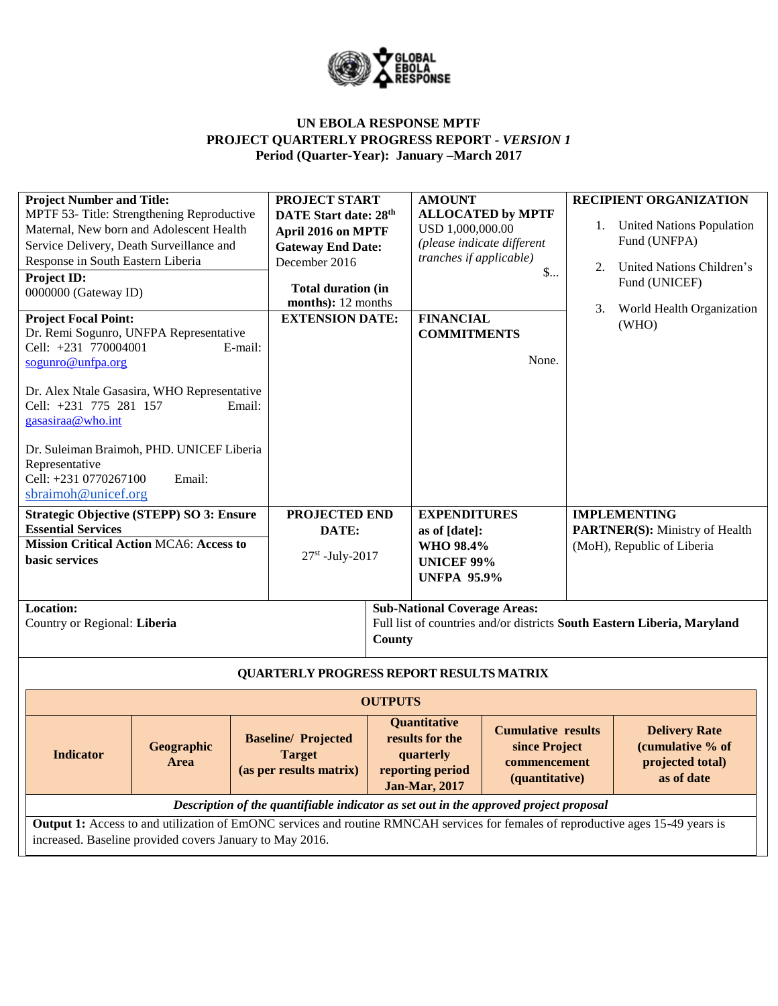

## **UN EBOLA RESPONSE MPTF PROJECT QUARTERLY PROGRESS REPORT** *- VERSION 1* **Period (Quarter-Year): January –March 2017**

| <b>Project Number and Title:</b><br>MPTF 53- Title: Strengthening Reproductive<br>Maternal, New born and Adolescent Health<br>Service Delivery, Death Surveillance and<br>Response in South Eastern Liberia<br>Project ID:<br>0000000 (Gateway ID)<br><b>Project Focal Point:</b><br>Dr. Remi Sogunro, UNFPA Representative<br>Cell: +231 770004001<br>E-mail:<br>sogunro@unfpa.org<br>Dr. Alex Ntale Gasasira, WHO Representative<br>Cell: +231 775 281 157<br>Email:<br>gasasiraa@who.int<br>Dr. Suleiman Braimoh, PHD. UNICEF Liberia<br>Representative<br>Cell: +231 0770267100<br>Email:<br>sbraimoh@unicef.org | <b>PROJECT START</b><br>DATE Start date: 28th<br>April 2016 on MPTF<br><b>Gateway End Date:</b><br>December 2016<br><b>Total duration (in</b><br>months): 12 months<br><b>EXTENSION DATE:</b> |                | <b>AMOUNT</b><br>USD 1,000,000.00<br>tranches if applicable)<br><b>FINANCIAL</b><br><b>COMMITMENTS</b>                                                                          | <b>ALLOCATED by MPTF</b><br>(please indicate different<br>$\mathsf{S}$<br>None. | 1.<br>2.<br>3.                                               | <b>RECIPIENT ORGANIZATION</b><br><b>United Nations Population</b><br>Fund (UNFPA)<br>United Nations Children's<br>Fund (UNICEF)<br>World Health Organization<br>(WHO) |  |
|----------------------------------------------------------------------------------------------------------------------------------------------------------------------------------------------------------------------------------------------------------------------------------------------------------------------------------------------------------------------------------------------------------------------------------------------------------------------------------------------------------------------------------------------------------------------------------------------------------------------|-----------------------------------------------------------------------------------------------------------------------------------------------------------------------------------------------|----------------|---------------------------------------------------------------------------------------------------------------------------------------------------------------------------------|---------------------------------------------------------------------------------|--------------------------------------------------------------|-----------------------------------------------------------------------------------------------------------------------------------------------------------------------|--|
| <b>Strategic Objective (STEPP) SO 3: Ensure</b><br><b>Essential Services</b>                                                                                                                                                                                                                                                                                                                                                                                                                                                                                                                                         | PROJECTED END<br>DATE:                                                                                                                                                                        |                | <b>EXPENDITURES</b><br>as of [date]:                                                                                                                                            |                                                                                 | <b>IMPLEMENTING</b><br><b>PARTNER(S):</b> Ministry of Health |                                                                                                                                                                       |  |
| <b>Mission Critical Action MCA6: Access to</b><br>basic services                                                                                                                                                                                                                                                                                                                                                                                                                                                                                                                                                     | $27st$ -July-2017                                                                                                                                                                             |                | WHO 98.4%<br><b>UNICEF 99%</b><br><b>UNFPA 95.9%</b>                                                                                                                            |                                                                                 | (MoH), Republic of Liberia                                   |                                                                                                                                                                       |  |
| Location:<br>Country or Regional: Liberia                                                                                                                                                                                                                                                                                                                                                                                                                                                                                                                                                                            |                                                                                                                                                                                               |                | <b>Sub-National Coverage Areas:</b>                                                                                                                                             |                                                                                 |                                                              | Full list of countries and/or districts South Eastern Liberia, Maryland                                                                                               |  |
|                                                                                                                                                                                                                                                                                                                                                                                                                                                                                                                                                                                                                      |                                                                                                                                                                                               | County         |                                                                                                                                                                                 |                                                                                 |                                                              |                                                                                                                                                                       |  |
|                                                                                                                                                                                                                                                                                                                                                                                                                                                                                                                                                                                                                      | <b>QUARTERLY PROGRESS REPORT RESULTS MATRIX</b>                                                                                                                                               |                |                                                                                                                                                                                 |                                                                                 |                                                              |                                                                                                                                                                       |  |
|                                                                                                                                                                                                                                                                                                                                                                                                                                                                                                                                                                                                                      |                                                                                                                                                                                               | <b>OUTPUTS</b> |                                                                                                                                                                                 |                                                                                 |                                                              |                                                                                                                                                                       |  |
| Geographic<br><b>Indicator</b><br>Area                                                                                                                                                                                                                                                                                                                                                                                                                                                                                                                                                                               | <b>Baseline/Projected</b><br><b>Target</b><br>(as per results matrix)                                                                                                                         |                | <b>Quantitative</b><br><b>Cumulative results</b><br>results for the<br>since Project<br>quarterly<br>commencement<br>reporting period<br>(quantitative)<br><b>Jan-Mar, 2017</b> |                                                                                 |                                                              | <b>Delivery Rate</b><br>(cumulative % of<br>projected total)<br>as of date                                                                                            |  |
|                                                                                                                                                                                                                                                                                                                                                                                                                                                                                                                                                                                                                      | Description of the quantifiable indicator as set out in the approved project proposal                                                                                                         |                |                                                                                                                                                                                 |                                                                                 |                                                              |                                                                                                                                                                       |  |
| Output 1: Access to and utilization of EmONC services and routine RMNCAH services for females of reproductive ages 15-49 years is<br>increased. Baseline provided covers January to May 2016.                                                                                                                                                                                                                                                                                                                                                                                                                        |                                                                                                                                                                                               |                |                                                                                                                                                                                 |                                                                                 |                                                              |                                                                                                                                                                       |  |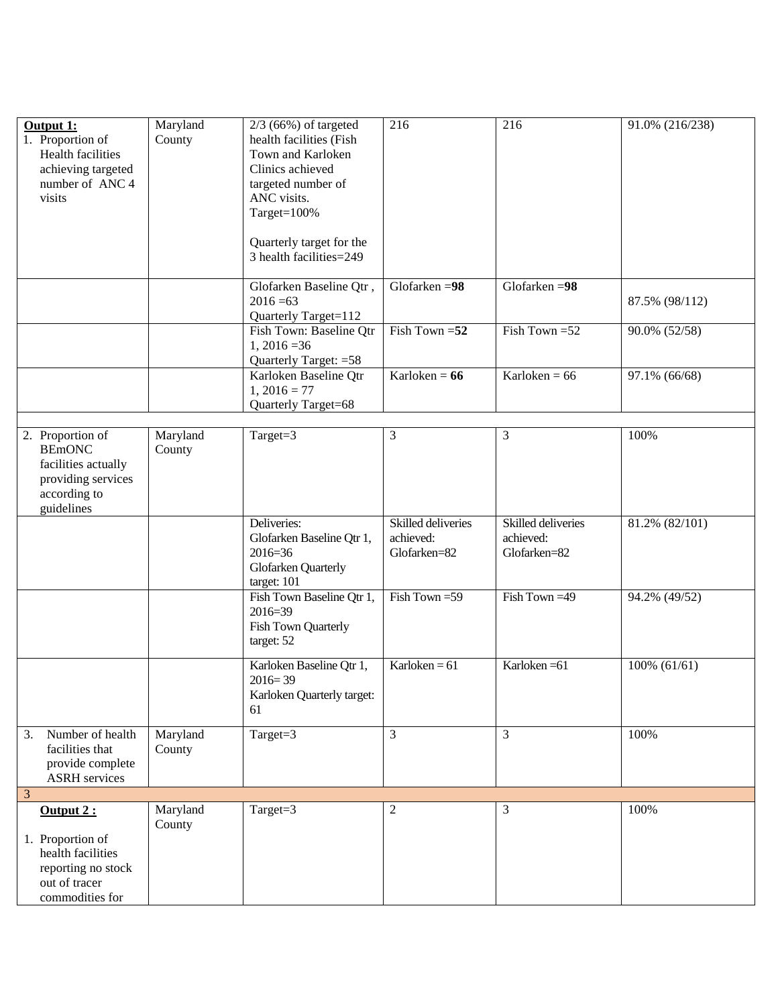| Output 1:<br>1. Proportion of<br><b>Health facilities</b><br>achieving targeted<br>number of ANC 4<br>visits | Maryland<br>County | $2/3$ (66%) of targeted<br>health facilities (Fish<br>Town and Karloken<br>Clinics achieved<br>targeted number of<br>ANC visits.<br>Target=100%<br>Quarterly target for the<br>3 health facilities=249 | 216                                             | 216                                             | 91.0% (216/238) |
|--------------------------------------------------------------------------------------------------------------|--------------------|--------------------------------------------------------------------------------------------------------------------------------------------------------------------------------------------------------|-------------------------------------------------|-------------------------------------------------|-----------------|
|                                                                                                              |                    | Glofarken Baseline Qtr,<br>$2016 = 63$<br>Quarterly Target=112                                                                                                                                         | Glofarken = $98$                                | Glofarken = $98$                                | 87.5% (98/112)  |
|                                                                                                              |                    | Fish Town: Baseline Qtr<br>$1,2016=36$<br>Quarterly Target: = 58                                                                                                                                       | Fish Town $=52$                                 | Fish Town = 52                                  | 90.0% (52/58)   |
|                                                                                                              |                    | Karloken Baseline Qtr<br>$1, 2016 = 77$<br>Quarterly Target=68                                                                                                                                         | Karloken = $66$                                 | Karloken = $66$                                 | 97.1% (66/68)   |
| 2. Proportion of<br><b>BEmONC</b><br>facilities actually<br>providing services<br>according to<br>guidelines | Maryland<br>County | Target=3                                                                                                                                                                                               | 3                                               | 3                                               | 100%            |
|                                                                                                              |                    | Deliveries:<br>Glofarken Baseline Qtr 1,<br>$2016 = 36$<br>Glofarken Quarterly<br>target: 101                                                                                                          | Skilled deliveries<br>achieved:<br>Glofarken=82 | Skilled deliveries<br>achieved:<br>Glofarken=82 | 81.2% (82/101)  |
|                                                                                                              |                    | Fish Town Baseline Qtr 1,<br>2016=39<br>Fish Town Quarterly<br>target: 52                                                                                                                              | Fish Town = 59                                  | Fish Town = 49                                  | 94.2% (49/52)   |
|                                                                                                              |                    | Karloken Baseline Qtr 1,<br>$2016 = 39$<br>Karloken Quarterly target:<br>61                                                                                                                            | Karloken = $61$                                 | Karloken = 61                                   | $100\% (61/61)$ |
| Number of health<br>3.<br>facilities that<br>provide complete<br><b>ASRH</b> services                        | Maryland<br>County | Target= $3$                                                                                                                                                                                            | 3                                               | 3                                               | 100%            |
| 3                                                                                                            |                    |                                                                                                                                                                                                        |                                                 |                                                 |                 |
| Output 2:<br>1. Proportion of<br>health facilities<br>reporting no stock<br>out of tracer<br>commodities for | Maryland<br>County | Target=3                                                                                                                                                                                               | 2                                               | 3                                               | 100%            |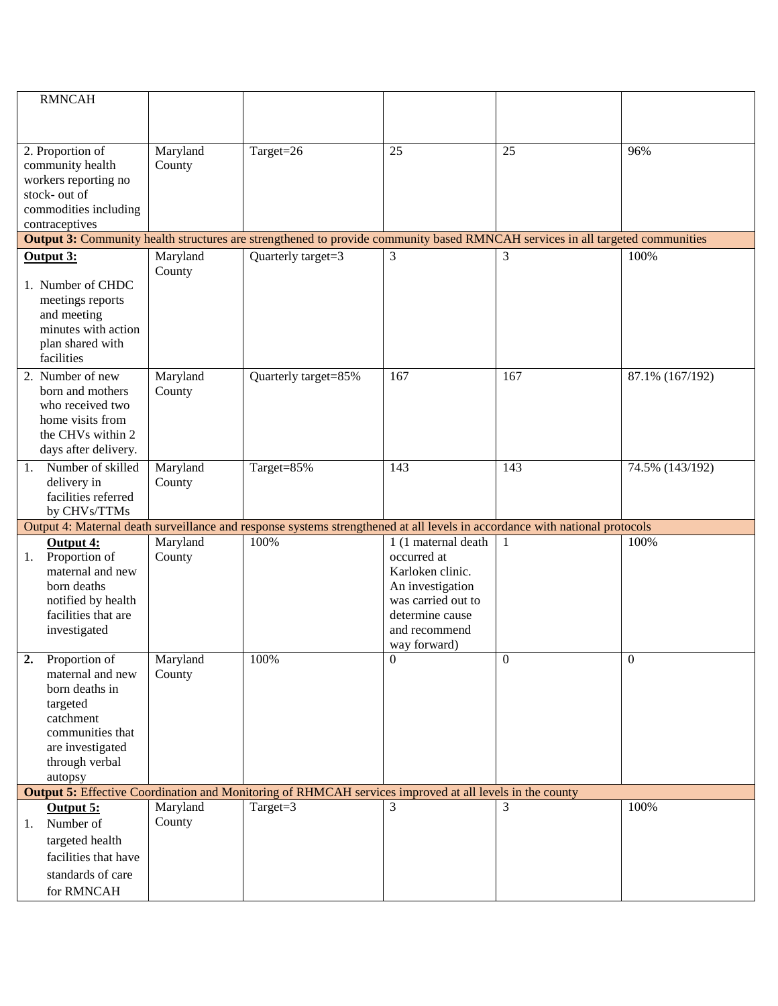|    | <b>RMNCAH</b>         |          |                                                                                                                               |                     |                  |                  |
|----|-----------------------|----------|-------------------------------------------------------------------------------------------------------------------------------|---------------------|------------------|------------------|
|    |                       |          |                                                                                                                               |                     |                  |                  |
|    |                       |          |                                                                                                                               |                     |                  |                  |
|    | 2. Proportion of      | Maryland | Target=26                                                                                                                     | 25                  | 25               | 96%              |
|    |                       |          |                                                                                                                               |                     |                  |                  |
|    | community health      | County   |                                                                                                                               |                     |                  |                  |
|    | workers reporting no  |          |                                                                                                                               |                     |                  |                  |
|    | stock- out of         |          |                                                                                                                               |                     |                  |                  |
|    | commodities including |          |                                                                                                                               |                     |                  |                  |
|    | contraceptives        |          |                                                                                                                               |                     |                  |                  |
|    |                       |          | Output 3: Community health structures are strengthened to provide community based RMNCAH services in all targeted communities |                     |                  |                  |
|    | Output 3:             | Maryland | Quarterly target=3                                                                                                            | 3                   | 3                | 100%             |
|    |                       | County   |                                                                                                                               |                     |                  |                  |
|    | 1. Number of CHDC     |          |                                                                                                                               |                     |                  |                  |
|    | meetings reports      |          |                                                                                                                               |                     |                  |                  |
|    | and meeting           |          |                                                                                                                               |                     |                  |                  |
|    | minutes with action   |          |                                                                                                                               |                     |                  |                  |
|    | plan shared with      |          |                                                                                                                               |                     |                  |                  |
|    | facilities            |          |                                                                                                                               |                     |                  |                  |
|    | 2. Number of new      | Maryland | Quarterly target=85%                                                                                                          | 167                 | 167              | 87.1% (167/192)  |
|    | born and mothers      | County   |                                                                                                                               |                     |                  |                  |
|    | who received two      |          |                                                                                                                               |                     |                  |                  |
|    | home visits from      |          |                                                                                                                               |                     |                  |                  |
|    | the CHVs within 2     |          |                                                                                                                               |                     |                  |                  |
|    | days after delivery.  |          |                                                                                                                               |                     |                  |                  |
| 1. | Number of skilled     | Maryland | Target=85%                                                                                                                    | 143                 | 143              | 74.5% (143/192)  |
|    | delivery in           | County   |                                                                                                                               |                     |                  |                  |
|    | facilities referred   |          |                                                                                                                               |                     |                  |                  |
|    | by CHVs/TTMs          |          |                                                                                                                               |                     |                  |                  |
|    |                       |          | Output 4: Maternal death surveillance and response systems strengthened at all levels in accordance with national protocols   |                     |                  |                  |
|    |                       | Maryland | 100%                                                                                                                          | 1 (1 maternal death | 1                | 100%             |
|    | Output 4:             |          |                                                                                                                               |                     |                  |                  |
| 1. | Proportion of         | County   |                                                                                                                               | occurred at         |                  |                  |
|    | maternal and new      |          |                                                                                                                               | Karloken clinic.    |                  |                  |
|    | born deaths           |          |                                                                                                                               | An investigation    |                  |                  |
|    | notified by health    |          |                                                                                                                               | was carried out to  |                  |                  |
|    | facilities that are   |          |                                                                                                                               | determine cause     |                  |                  |
|    | investigated          |          |                                                                                                                               | and recommend       |                  |                  |
|    |                       |          |                                                                                                                               | way forward)        |                  |                  |
|    | 2. Proportion of      | Maryland | 100%                                                                                                                          | $\mathbf{0}$        | $\boldsymbol{0}$ | $\boldsymbol{0}$ |
|    | maternal and new      | County   |                                                                                                                               |                     |                  |                  |
|    | born deaths in        |          |                                                                                                                               |                     |                  |                  |
|    | targeted              |          |                                                                                                                               |                     |                  |                  |
|    | catchment             |          |                                                                                                                               |                     |                  |                  |
|    | communities that      |          |                                                                                                                               |                     |                  |                  |
|    | are investigated      |          |                                                                                                                               |                     |                  |                  |
|    | through verbal        |          |                                                                                                                               |                     |                  |                  |
|    | autopsy               |          |                                                                                                                               |                     |                  |                  |
|    |                       |          | <b>Output 5:</b> Effective Coordination and Monitoring of RHMCAH services improved at all levels in the county                |                     |                  |                  |
|    | Output 5:             | Maryland | Target=3                                                                                                                      | 3                   | 3                | 100%             |
| 1. | Number of             | County   |                                                                                                                               |                     |                  |                  |
|    | targeted health       |          |                                                                                                                               |                     |                  |                  |
|    | facilities that have  |          |                                                                                                                               |                     |                  |                  |
|    | standards of care     |          |                                                                                                                               |                     |                  |                  |
|    | for RMNCAH            |          |                                                                                                                               |                     |                  |                  |
|    |                       |          |                                                                                                                               |                     |                  |                  |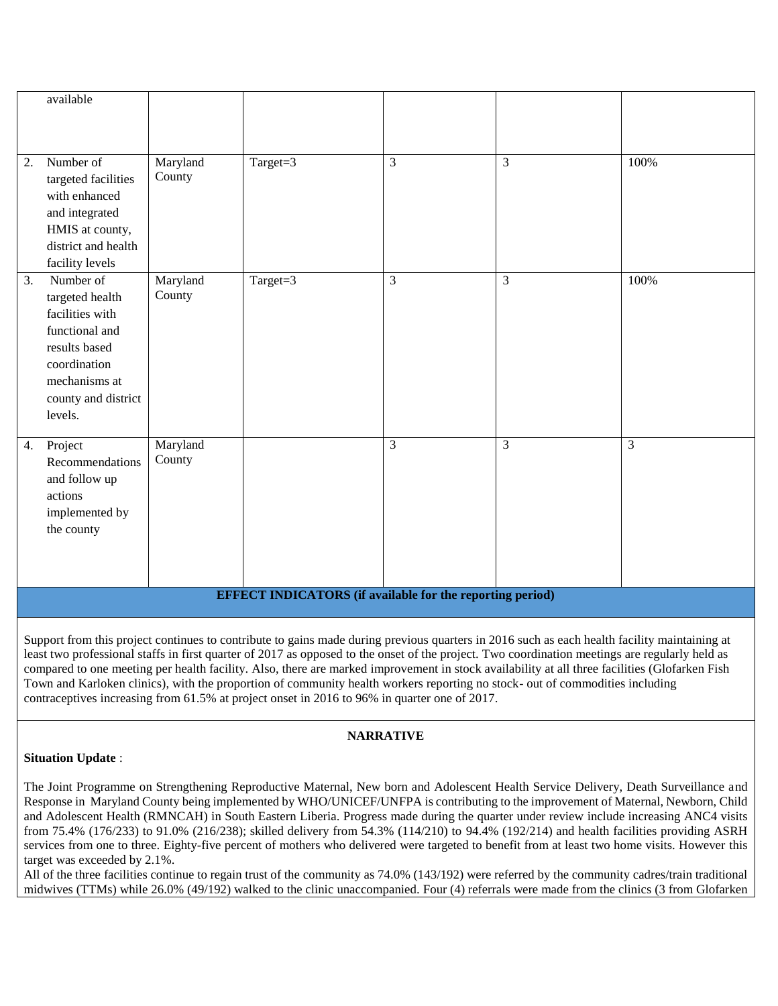| available                                                                                                                                                   |                    |          |                |   |      |  |  |
|-------------------------------------------------------------------------------------------------------------------------------------------------------------|--------------------|----------|----------------|---|------|--|--|
|                                                                                                                                                             |                    |          |                |   |      |  |  |
| Number of<br>2.<br>targeted facilities<br>with enhanced<br>and integrated<br>HMIS at county,<br>district and health<br>facility levels                      | Maryland<br>County | Target=3 | $\overline{3}$ | 3 | 100% |  |  |
| Number of<br>3.<br>targeted health<br>facilities with<br>functional and<br>results based<br>coordination<br>mechanisms at<br>county and district<br>levels. | Maryland<br>County | Target=3 | $\overline{3}$ | 3 | 100% |  |  |
| Project<br>4.<br>Recommendations<br>and follow up<br>actions<br>implemented by<br>the county                                                                | Maryland<br>County |          | 3              | 3 | 3    |  |  |
| <b>EFFECT INDICATORS</b> (if available for the reporting period)                                                                                            |                    |          |                |   |      |  |  |

Support from this project continues to contribute to gains made during previous quarters in 2016 such as each health facility maintaining at least two professional staffs in first quarter of 2017 as opposed to the onset of the project. Two coordination meetings are regularly held as compared to one meeting per health facility. Also, there are marked improvement in stock availability at all three facilities (Glofarken Fish Town and Karloken clinics), with the proportion of community health workers reporting no stock- out of commodities including contraceptives increasing from 61.5% at project onset in 2016 to 96% in quarter one of 2017.

## **NARRATIVE**

## **Situation Update** :

The Joint Programme on Strengthening Reproductive Maternal, New born and Adolescent Health Service Delivery, Death Surveillance and Response in Maryland County being implemented by WHO/UNICEF/UNFPA is contributing to the improvement of Maternal, Newborn, Child and Adolescent Health (RMNCAH) in South Eastern Liberia. Progress made during the quarter under review include increasing ANC4 visits from 75.4% (176/233) to 91.0% (216/238); skilled delivery from 54.3% (114/210) to 94.4% (192/214) and health facilities providing ASRH services from one to three. Eighty-five percent of mothers who delivered were targeted to benefit from at least two home visits. However this target was exceeded by 2.1%.

All of the three facilities continue to regain trust of the community as 74.0% (143/192) were referred by the community cadres/train traditional midwives (TTMs) while 26.0% (49/192) walked to the clinic unaccompanied. Four (4) referrals were made from the clinics (3 from Glofarken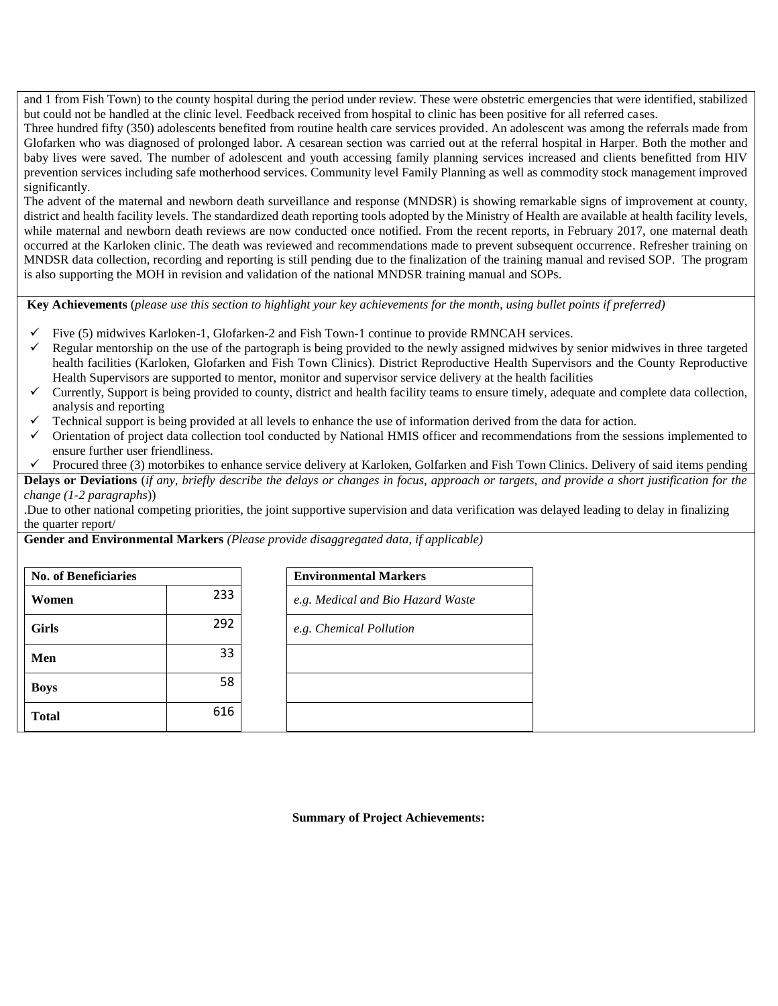and 1 from Fish Town) to the county hospital during the period under review. These were obstetric emergencies that were identified, stabilized but could not be handled at the clinic level. Feedback received from hospital to clinic has been positive for all referred cases.

Three hundred fifty (350) adolescents benefited from routine health care services provided. An adolescent was among the referrals made from Glofarken who was diagnosed of prolonged labor. A cesarean section was carried out at the referral hospital in Harper. Both the mother and baby lives were saved. The number of adolescent and youth accessing family planning services increased and clients benefitted from HIV prevention services including safe motherhood services. Community level Family Planning as well as commodity stock management improved significantly.

The advent of the maternal and newborn death surveillance and response (MNDSR) is showing remarkable signs of improvement at county, district and health facility levels. The standardized death reporting tools adopted by the Ministry of Health are available at health facility levels, while maternal and newborn death reviews are now conducted once notified. From the recent reports, in February 2017, one maternal death occurred at the Karloken clinic. The death was reviewed and recommendations made to prevent subsequent occurrence. Refresher training on MNDSR data collection, recording and reporting is still pending due to the finalization of the training manual and revised SOP. The program is also supporting the MOH in revision and validation of the national MNDSR training manual and SOPs.

**Key Achievements** (*please use this section to highlight your key achievements for the month, using bullet points if preferred)*

- Five (5) midwives Karloken-1, Glofarken-2 and Fish Town-1 continue to provide RMNCAH services.
- Regular mentorship on the use of the partograph is being provided to the newly assigned midwives by senior midwives in three targeted health facilities (Karloken, Glofarken and Fish Town Clinics). District Reproductive Health Supervisors and the County Reproductive Health Supervisors are supported to mentor, monitor and supervisor service delivery at the health facilities
- Currently, Support is being provided to county, district and health facility teams to ensure timely, adequate and complete data collection, analysis and reporting
- Technical support is being provided at all levels to enhance the use of information derived from the data for action.
- Orientation of project data collection tool conducted by National HMIS officer and recommendations from the sessions implemented to ensure further user friendliness.
- Procured three (3) motorbikes to enhance service delivery at Karloken, Golfarken and Fish Town Clinics. Delivery of said items pending

**Delays or Deviations** (*if any, briefly describe the delays or changes in focus, approach or targets, and provide a short justification for the change (1-2 paragraphs*))

.Due to other national competing priorities, the joint supportive supervision and data verification was delayed leading to delay in finalizing the quarter report/

**Gender and Environmental Markers** *(Please provide disaggregated data, if applicable)*

| <b>No. of Beneficiaries</b> |     | <b>Environmental Markers</b>      |
|-----------------------------|-----|-----------------------------------|
| Women                       | 233 | e.g. Medical and Bio Hazard Waste |
| <b>Girls</b>                | 292 | e.g. Chemical Pollution           |
| Men                         | 33  |                                   |
| <b>Boys</b>                 | 58  |                                   |
| <b>Total</b>                | 616 |                                   |

**Summary of Project Achievements:**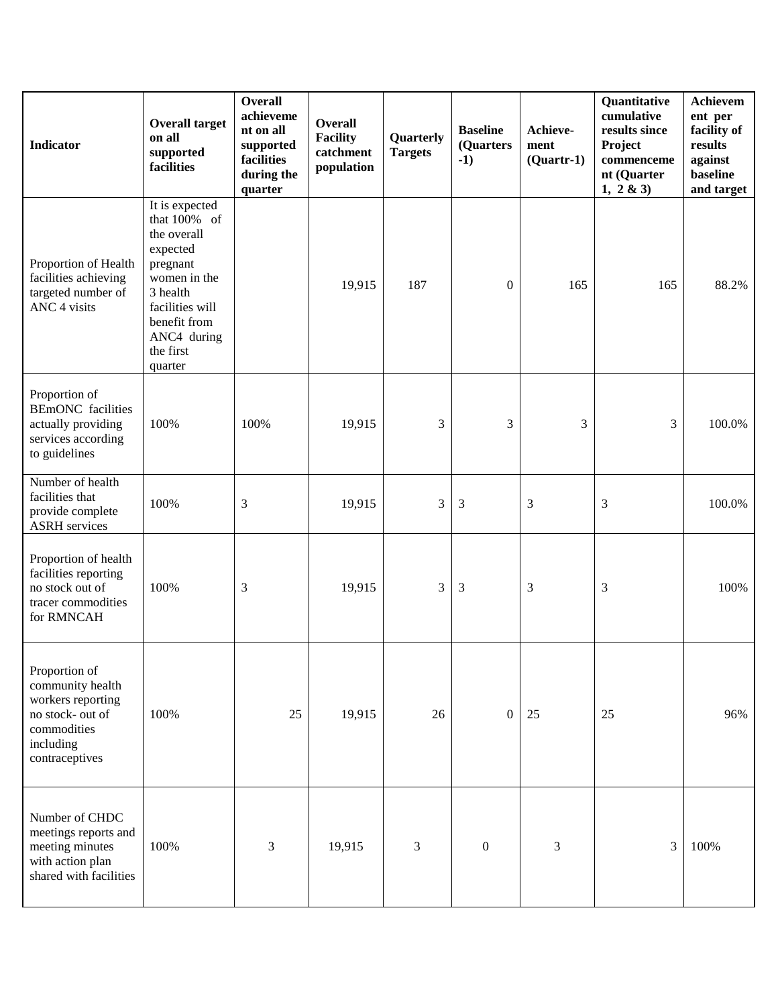| <b>Indicator</b>                                                                                                         | <b>Overall target</b><br>on all<br>supported<br>facilities                                                                                                                  | <b>Overall</b><br>achieveme<br>nt on all<br>supported<br>facilities<br>during the<br>quarter | <b>Overall</b><br><b>Facility</b><br>catchment<br>population | Quarterly<br><b>Targets</b> | <b>Baseline</b><br>(Quarters<br>$-1)$ | Achieve-<br>ment<br>$(Quarter-1)$ | Quantitative<br>cumulative<br>results since<br>Project<br>commenceme<br>nt (Quarter<br>1, 2 & 3 | Achievem<br>ent per<br>facility of<br>results<br>against<br>baseline<br>and target |
|--------------------------------------------------------------------------------------------------------------------------|-----------------------------------------------------------------------------------------------------------------------------------------------------------------------------|----------------------------------------------------------------------------------------------|--------------------------------------------------------------|-----------------------------|---------------------------------------|-----------------------------------|-------------------------------------------------------------------------------------------------|------------------------------------------------------------------------------------|
| Proportion of Health<br>facilities achieving<br>targeted number of<br>ANC 4 visits                                       | It is expected<br>that 100% of<br>the overall<br>expected<br>pregnant<br>women in the<br>3 health<br>facilities will<br>benefit from<br>ANC4 during<br>the first<br>quarter |                                                                                              | 19,915                                                       | 187                         | $\boldsymbol{0}$                      | 165                               | 165                                                                                             | 88.2%                                                                              |
| Proportion of<br><b>BEmONC</b> facilities<br>actually providing<br>services according<br>to guidelines                   | 100%                                                                                                                                                                        | 100%                                                                                         | 19,915                                                       | 3                           | 3                                     | 3                                 | 3                                                                                               | 100.0%                                                                             |
| Number of health<br>facilities that<br>provide complete<br><b>ASRH</b> services                                          | 100%                                                                                                                                                                        | 3                                                                                            | 19,915                                                       | 3                           | 3                                     | 3                                 | 3                                                                                               | 100.0%                                                                             |
| Proportion of health<br>facilities reporting<br>no stock out of<br>tracer commodities<br>for RMNCAH                      | 100%                                                                                                                                                                        | 3                                                                                            | 19,915                                                       | 3                           | 3                                     | 3                                 | 3                                                                                               | 100%                                                                               |
| Proportion of<br>community health<br>workers reporting<br>no stock- out of<br>commodities<br>including<br>contraceptives | 100%                                                                                                                                                                        | 25                                                                                           | 19,915                                                       | 26                          | $\mathbf{0}$                          | 25                                | 25                                                                                              | 96%                                                                                |
| Number of CHDC<br>meetings reports and<br>meeting minutes<br>with action plan<br>shared with facilities                  | 100%                                                                                                                                                                        | 3                                                                                            | 19,915                                                       | 3                           | $\boldsymbol{0}$                      | 3                                 | 3                                                                                               | 100%                                                                               |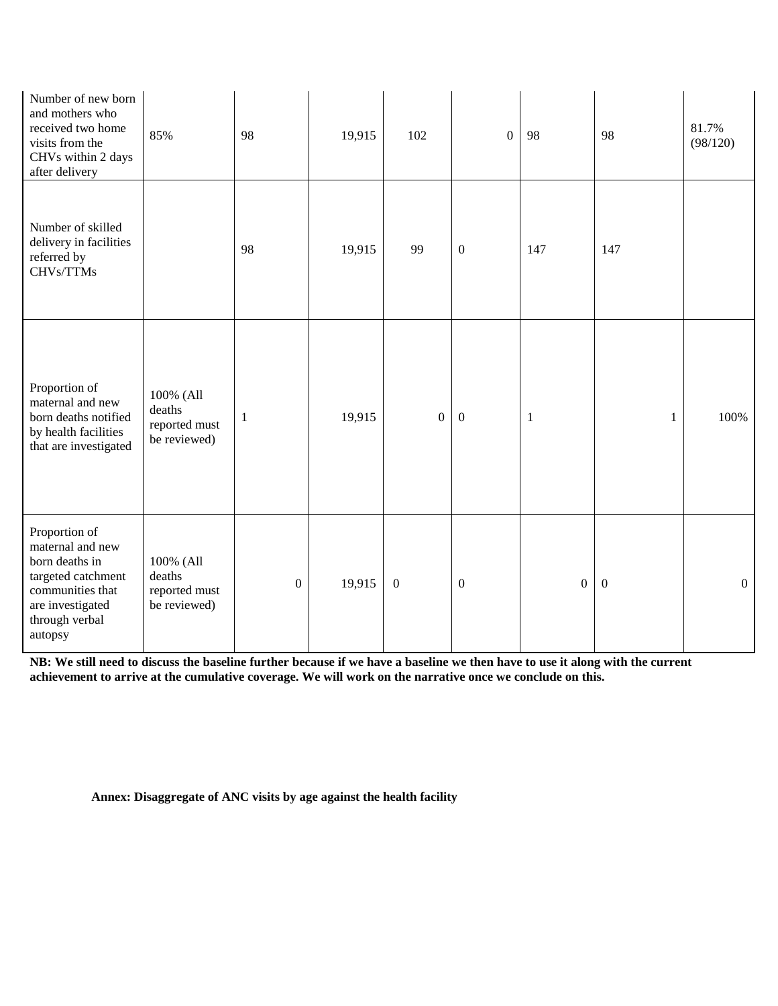| Number of new born<br>and mothers who<br>received two home<br>visits from the<br>CHVs within 2 days<br>after delivery                          | 85%                                                  | 98               | 19,915 | 102              | $\overline{0}$   | 98               | 98               | 81.7%<br>(98/120) |
|------------------------------------------------------------------------------------------------------------------------------------------------|------------------------------------------------------|------------------|--------|------------------|------------------|------------------|------------------|-------------------|
| Number of skilled<br>delivery in facilities<br>referred by<br>CHVs/TTMs                                                                        |                                                      | 98               | 19,915 | 99               | $\boldsymbol{0}$ | 147              | 147              |                   |
| Proportion of<br>maternal and new<br>born deaths notified<br>by health facilities<br>that are investigated                                     | 100% (All<br>deaths<br>reported must<br>be reviewed) | $\mathbf{1}$     | 19,915 | $\overline{0}$   | $\boldsymbol{0}$ | $\mathbf{1}$     | $\mathbf{1}$     | 100%              |
| Proportion of<br>maternal and new<br>born deaths in<br>targeted catchment<br>communities that<br>are investigated<br>through verbal<br>autopsy | 100% (All<br>deaths<br>reported must<br>be reviewed) | $\boldsymbol{0}$ | 19,915 | $\boldsymbol{0}$ | $\boldsymbol{0}$ | $\boldsymbol{0}$ | $\boldsymbol{0}$ | $\boldsymbol{0}$  |

**NB: We still need to discuss the baseline further because if we have a baseline we then have to use it along with the current achievement to arrive at the cumulative coverage. We will work on the narrative once we conclude on this.**

**Annex: Disaggregate of ANC visits by age against the health facility**